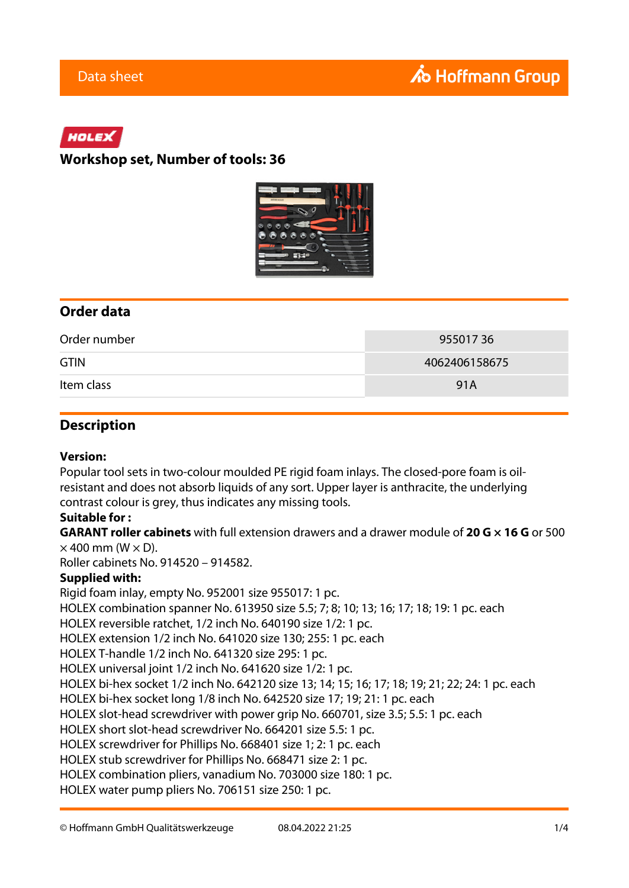# HOLEX

## **Workshop set, Number of tools: 36**



## **Order data**

| Order number | 95501736      |
|--------------|---------------|
| <b>GTIN</b>  | 4062406158675 |
| Item class   | 91A           |

## **Description**

#### **Version:**

Popular tool sets in two-colour moulded PE rigid foam inlays. The closed-pore foam is oilresistant and does not absorb liquids of any sort. Upper layer is anthracite, the underlying contrast colour is grey, thus indicates any missing tools.

## **Suitable for :**

**GARANT roller cabinets** with full extension drawers and a drawer module of **20 G × 16 G** or 500  $\times$  400 mm (W  $\times$  D).

Roller cabinets No. 914520 – 914582.

## **Supplied with:**

Rigid foam inlay, empty No. 952001 size 955017: 1 pc. HOLEX combination spanner No. 613950 size 5.5; 7; 8; 10; 13; 16; 17; 18; 19: 1 pc. each HOLEX reversible ratchet, 1/2 inch No. 640190 size 1/2: 1 pc. HOLEX extension 1/2 inch No. 641020 size 130; 255: 1 pc. each HOLEX T-handle 1/2 inch No. 641320 size 295: 1 pc. HOLEX universal joint 1/2 inch No. 641620 size 1/2: 1 pc. HOLEX bi-hex socket 1/2 inch No. 642120 size 13; 14; 15; 16; 17; 18; 19; 21; 22; 24: 1 pc. each HOLEX bi-hex socket long 1/8 inch No. 642520 size 17; 19; 21: 1 pc. each HOLEX slot-head screwdriver with power grip No. 660701, size 3.5; 5.5: 1 pc. each HOLEX short slot-head screwdriver No. 664201 size 5.5: 1 pc. HOLEX screwdriver for Phillips No. 668401 size 1; 2: 1 pc. each HOLEX stub screwdriver for Phillips No. 668471 size 2: 1 pc. HOLEX combination pliers, vanadium No. 703000 size 180: 1 pc. HOLEX water pump pliers No. 706151 size 250: 1 pc.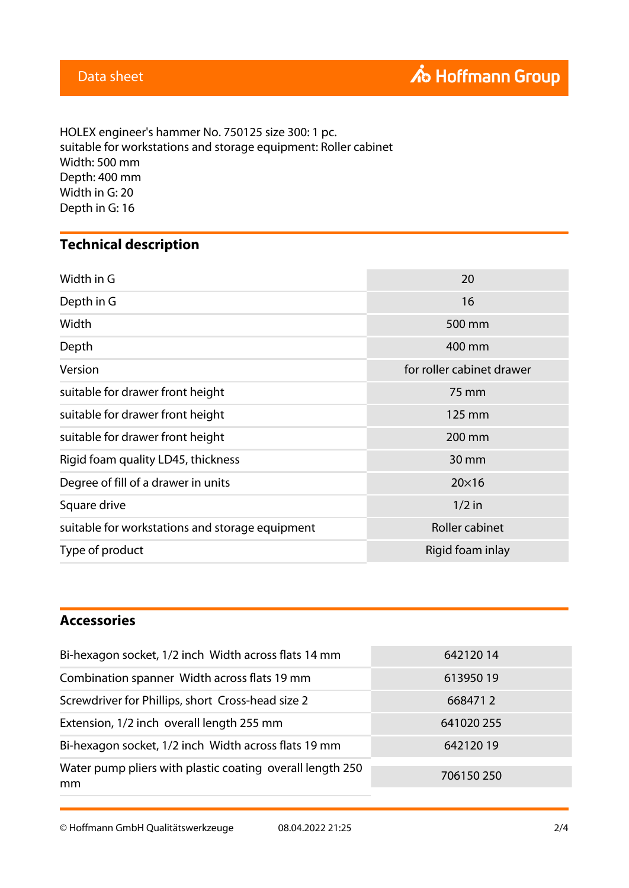HOLEX engineer's hammer No. 750125 size 300: 1 pc. suitable for workstations and storage equipment: Roller cabinet Width: 500 mm Depth: 400 mm Width in G: 20 Depth in G: 16

# **Technical description**

| Width in G                                      | 20                        |
|-------------------------------------------------|---------------------------|
| Depth in G                                      | 16                        |
| Width                                           | 500 mm                    |
| Depth                                           | 400 mm                    |
| Version                                         | for roller cabinet drawer |
| suitable for drawer front height                | 75 mm                     |
| suitable for drawer front height                | 125 mm                    |
| suitable for drawer front height                | 200 mm                    |
| Rigid foam quality LD45, thickness              | 30 mm                     |
| Degree of fill of a drawer in units             | $20\times16$              |
| Square drive                                    | $1/2$ in                  |
| suitable for workstations and storage equipment | <b>Roller cabinet</b>     |
| Type of product                                 | Rigid foam inlay          |

# **Accessories**

| 64212014   |
|------------|
| 61395019   |
| 6684712    |
| 641020 255 |
| 64212019   |
| 706150250  |
|            |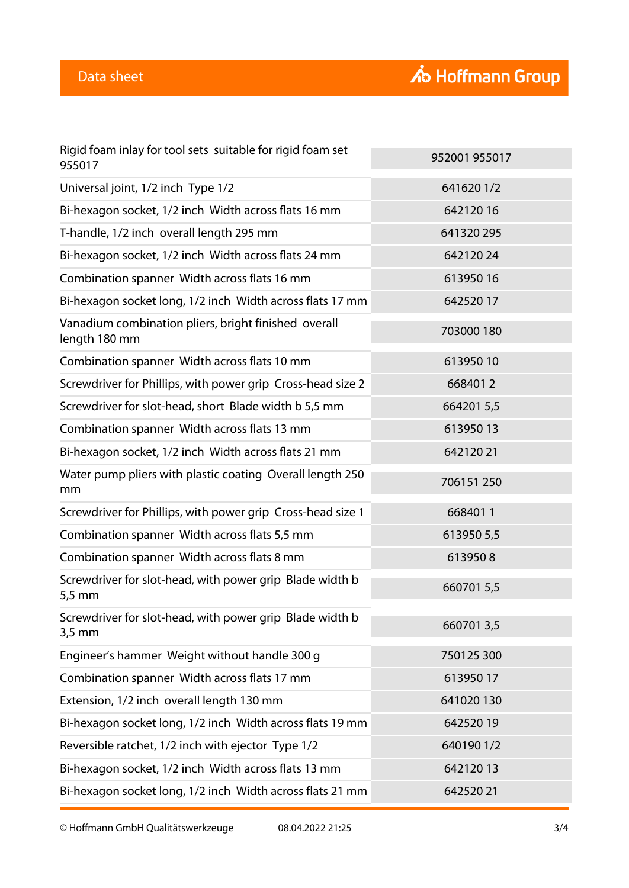| Rigid foam inlay for tool sets suitable for rigid foam set<br>955017           | 952001 955017 |
|--------------------------------------------------------------------------------|---------------|
| Universal joint, 1/2 inch Type 1/2                                             | 6416201/2     |
| Bi-hexagon socket, 1/2 inch Width across flats 16 mm                           | 64212016      |
| T-handle, 1/2 inch overall length 295 mm                                       | 641320 295    |
| Bi-hexagon socket, 1/2 inch Width across flats 24 mm                           | 64212024      |
| Combination spanner Width across flats 16 mm                                   | 61395016      |
| Bi-hexagon socket long, 1/2 inch Width across flats 17 mm                      | 64252017      |
| Vanadium combination pliers, bright finished overall<br>length 180 mm          | 703000 180    |
| Combination spanner Width across flats 10 mm                                   | 61395010      |
| Screwdriver for Phillips, with power grip Cross-head size 2                    | 6684012       |
| Screwdriver for slot-head, short Blade width b 5,5 mm                          | 6642015,5     |
| Combination spanner Width across flats 13 mm                                   | 61395013      |
| Bi-hexagon socket, 1/2 inch Width across flats 21 mm                           | 64212021      |
| Water pump pliers with plastic coating Overall length 250<br>mm                | 706151250     |
| Screwdriver for Phillips, with power grip Cross-head size 1                    | 6684011       |
| Combination spanner Width across flats 5,5 mm                                  | 613950 5,5    |
| Combination spanner Width across flats 8 mm                                    | 6139508       |
| Screwdriver for slot-head, with power grip Blade width b<br>$5,5$ mm           | 660701 5,5    |
| Screwdriver for slot-head, with power grip Blade width b<br>$3,5 \, \text{mm}$ | 6607013,5     |
| Engineer's hammer Weight without handle 300 g                                  | 750125 300    |
| Combination spanner Width across flats 17 mm                                   | 61395017      |
| Extension, 1/2 inch overall length 130 mm                                      | 641020 130    |
| Bi-hexagon socket long, 1/2 inch Width across flats 19 mm                      | 64252019      |
| Reversible ratchet, 1/2 inch with ejector Type 1/2                             | 6401901/2     |
| Bi-hexagon socket, 1/2 inch Width across flats 13 mm                           | 64212013      |
| Bi-hexagon socket long, 1/2 inch Width across flats 21 mm                      | 64252021      |